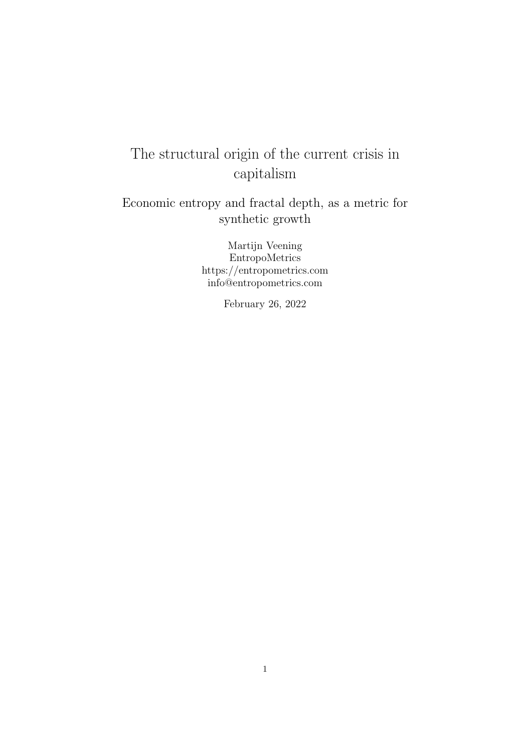# The structural origin of the current crisis in capitalism

Economic entropy and fractal depth, as a metric for synthetic growth

> Martijn Veening EntropoMetrics https://entropometrics.com info@entropometrics.com

> > February 26, 2022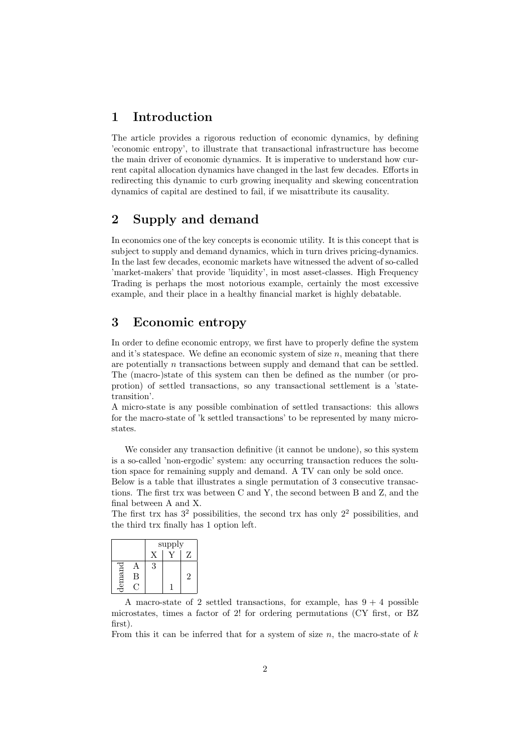## 1 Introduction

The article provides a rigorous reduction of economic dynamics, by defining 'economic entropy', to illustrate that transactional infrastructure has become the main driver of economic dynamics. It is imperative to understand how current capital allocation dynamics have changed in the last few decades. Efforts in redirecting this dynamic to curb growing inequality and skewing concentration dynamics of capital are destined to fail, if we misattribute its causality.

# 2 Supply and demand

In economics one of the key concepts is economic utility. It is this concept that is subject to supply and demand dynamics, which in turn drives pricing-dynamics. In the last few decades, economic markets have witnessed the advent of so-called 'market-makers' that provide 'liquidity', in most asset-classes. High Frequency Trading is perhaps the most notorious example, certainly the most excessive example, and their place in a healthy financial market is highly debatable.

## 3 Economic entropy

In order to define economic entropy, we first have to properly define the system and it's statespace. We define an economic system of size  $n$ , meaning that there are potentially n transactions between supply and demand that can be settled. The (macro-)state of this system can then be defined as the number (or proprotion) of settled transactions, so any transactional settlement is a 'statetransition'.

A micro-state is any possible combination of settled transactions: this allows for the macro-state of 'k settled transactions' to be represented by many microstates.

We consider any transaction definitive (it cannot be undone), so this system is a so-called 'non-ergodic' system: any occurring transaction reduces the solution space for remaining supply and demand. A TV can only be sold once.

Below is a table that illustrates a single permutation of 3 consecutive transactions. The first trx was between C and Y, the second between B and Z, and the final between A and X.

The first trx has  $3^2$  possibilities, the second trx has only  $2^2$  possibilities, and the third trx finally has 1 option left.

|    |   | supply |  |    |
|----|---|--------|--|----|
|    |   |        |  | 7, |
|    |   | 3      |  |    |
| ma | В |        |  | 2  |
| E  |   |        |  |    |

A macro-state of 2 settled transactions, for example, has  $9 + 4$  possible microstates, times a factor of 2! for ordering permutations (CY first, or BZ first).

From this it can be inferred that for a system of size  $n$ , the macro-state of  $k$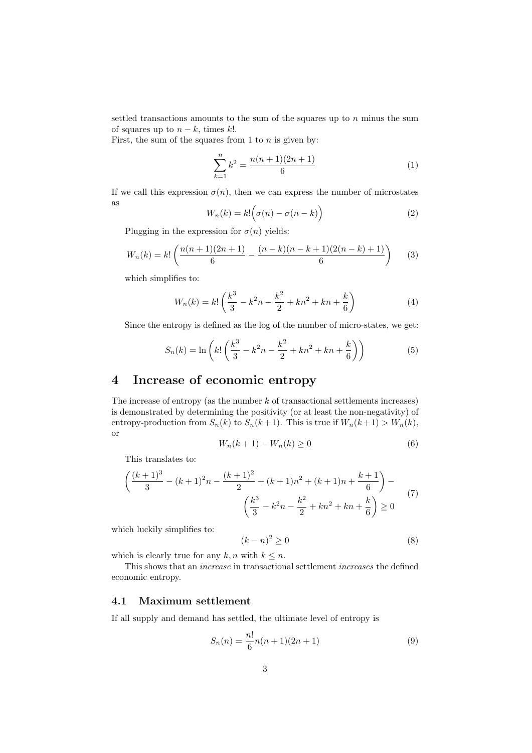settled transactions amounts to the sum of the squares up to  $n$  minus the sum of squares up to  $n - k$ , times k!.

First, the sum of the squares from 1 to  $n$  is given by:

$$
\sum_{k=1}^{n} k^2 = \frac{n(n+1)(2n+1)}{6}
$$
 (1)

If we call this expression  $\sigma(n)$ , then we can express the number of microstates as

$$
W_n(k) = k! \Big( \sigma(n) - \sigma(n-k) \Big) \tag{2}
$$

Plugging in the expression for  $\sigma(n)$  yields:

$$
W_n(k) = k! \left( \frac{n(n+1)(2n+1)}{6} - \frac{(n-k)(n-k+1)(2(n-k)+1)}{6} \right) \tag{3}
$$

which simplifies to:

$$
W_n(k) = k! \left(\frac{k^3}{3} - k^2 n - \frac{k^2}{2} + kn^2 + kn + \frac{k}{6}\right)
$$
 (4)

Since the entropy is defined as the log of the number of micro-states, we get:

$$
S_n(k) = \ln\left(k!\left(\frac{k^3}{3} - k^2n - \frac{k^2}{2} + kn^2 + kn + \frac{k}{6}\right)\right)
$$
(5)

# 4 Increase of economic entropy

The increase of entropy (as the number  $k$  of transactional settlements increases) is demonstrated by determining the positivity (or at least the non-negativity) of entropy-production from  $S_n(k)$  to  $S_n(k+1)$ . This is true if  $W_n(k+1) > W_n(k)$ , or

$$
W_n(k+1) - W_n(k) \ge 0\tag{6}
$$

This translates to:

$$
\left(\frac{(k+1)^3}{3} - (k+1)^2 n - \frac{(k+1)^2}{2} + (k+1)n^2 + (k+1)n + \frac{k+1}{6}\right) - \left(\frac{k^3}{3} - k^2 n - \frac{k^2}{2} + kn^2 + kn + \frac{k}{6}\right) \ge 0
$$
\n(7)

which luckily simplifies to:

$$
(k-n)^2 \ge 0\tag{8}
$$

which is clearly true for any  $k, n$  with  $k \leq n$ .

This shows that an increase in transactional settlement increases the defined economic entropy.

#### 4.1 Maximum settlement

If all supply and demand has settled, the ultimate level of entropy is

$$
S_n(n) = \frac{n!}{6}n(n+1)(2n+1)
$$
\n(9)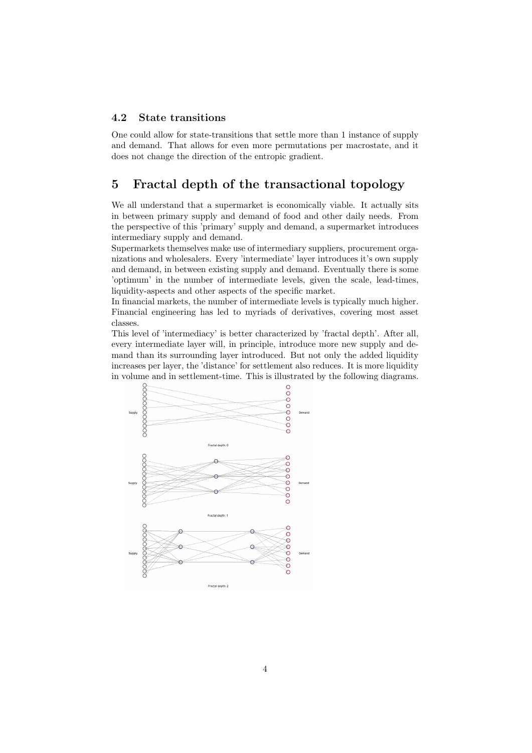#### 4.2 State transitions

One could allow for state-transitions that settle more than 1 instance of supply and demand. That allows for even more permutations per macrostate, and it does not change the direction of the entropic gradient.

## 5 Fractal depth of the transactional topology

We all understand that a supermarket is economically viable. It actually sits in between primary supply and demand of food and other daily needs. From the perspective of this 'primary' supply and demand, a supermarket introduces intermediary supply and demand.

Supermarkets themselves make use of intermediary suppliers, procurement organizations and wholesalers. Every 'intermediate' layer introduces it's own supply and demand, in between existing supply and demand. Eventually there is some 'optimum' in the number of intermediate levels, given the scale, lead-times, liquidity-aspects and other aspects of the specific market.

In financial markets, the number of intermediate levels is typically much higher. Financial engineering has led to myriads of derivatives, covering most asset classes.

This level of 'intermediacy' is better characterized by 'fractal depth'. After all, every intermediate layer will, in principle, introduce more new supply and demand than its surrounding layer introduced. But not only the added liquidity increases per layer, the 'distance' for settlement also reduces. It is more liquidity in volume and in settlement-time. This is illustrated by the following diagrams.

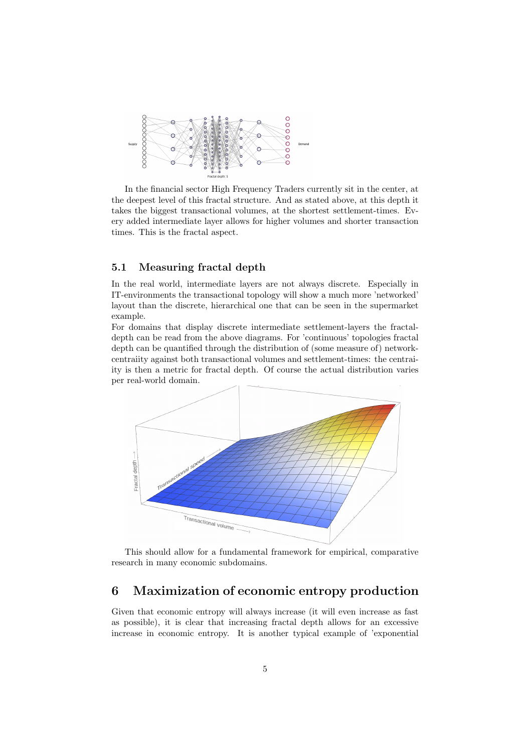

In the financial sector High Frequency Traders currently sit in the center, at the deepest level of this fractal structure. And as stated above, at this depth it takes the biggest transactional volumes, at the shortest settlement-times. Every added intermediate layer allows for higher volumes and shorter transaction times. This is the fractal aspect.

#### 5.1 Measuring fractal depth

In the real world, intermediate layers are not always discrete. Especially in IT-environments the transactional topology will show a much more 'networked' layout than the discrete, hierarchical one that can be seen in the supermarket example.

For domains that display discrete intermediate settlement-layers the fractaldepth can be read from the above diagrams. For 'continuous' topologies fractal depth can be quantified through the distribution of (some measure of) networkcentraiity against both transactional volumes and settlement-times: the centraiity is then a metric for fractal depth. Of course the actual distribution varies per real-world domain.



This should allow for a fundamental framework for empirical, comparative research in many economic subdomains.

### 6 Maximization of economic entropy production

Given that economic entropy will always increase (it will even increase as fast as possible), it is clear that increasing fractal depth allows for an excessive increase in economic entropy. It is another typical example of 'exponential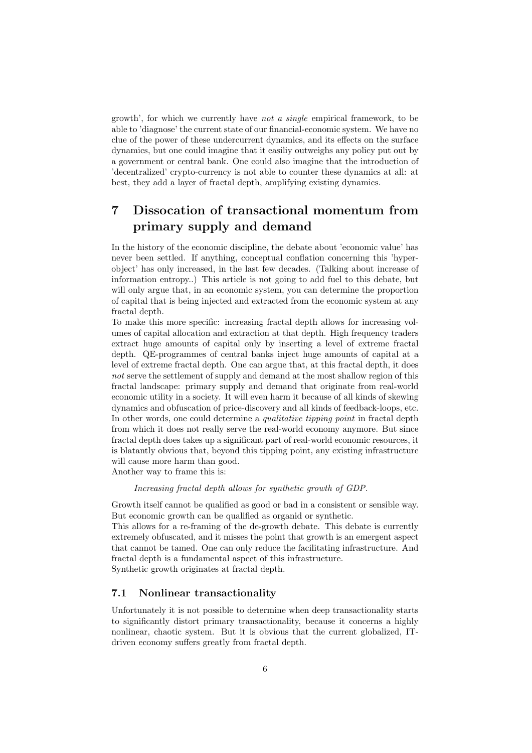growth', for which we currently have not a single empirical framework, to be able to 'diagnose' the current state of our financial-economic system. We have no clue of the power of these undercurrent dynamics, and its effects on the surface dynamics, but one could imagine that it easiliy outweighs any policy put out by a government or central bank. One could also imagine that the introduction of 'decentralized' crypto-currency is not able to counter these dynamics at all: at best, they add a layer of fractal depth, amplifying existing dynamics.

# 7 Dissocation of transactional momentum from primary supply and demand

In the history of the economic discipline, the debate about 'economic value' has never been settled. If anything, conceptual conflation concerning this 'hyperobject' has only increased, in the last few decades. (Talking about increase of information entropy..) This article is not going to add fuel to this debate, but will only argue that, in an economic system, you can determine the proportion of capital that is being injected and extracted from the economic system at any fractal depth.

To make this more specific: increasing fractal depth allows for increasing volumes of capital allocation and extraction at that depth. High frequency traders extract huge amounts of capital only by inserting a level of extreme fractal depth. QE-programmes of central banks inject huge amounts of capital at a level of extreme fractal depth. One can argue that, at this fractal depth, it does not serve the settlement of supply and demand at the most shallow region of this fractal landscape: primary supply and demand that originate from real-world economic utility in a society. It will even harm it because of all kinds of skewing dynamics and obfuscation of price-discovery and all kinds of feedback-loops, etc. In other words, one could determine a *qualitative tipping point* in fractal depth from which it does not really serve the real-world economy anymore. But since fractal depth does takes up a significant part of real-world economic resources, it is blatantly obvious that, beyond this tipping point, any existing infrastructure will cause more harm than good.

Another way to frame this is:

Increasing fractal depth allows for synthetic growth of GDP.

Growth itself cannot be qualified as good or bad in a consistent or sensible way. But economic growth can be qualified as organid or synthetic.

This allows for a re-framing of the de-growth debate. This debate is currently extremely obfuscated, and it misses the point that growth is an emergent aspect that cannot be tamed. One can only reduce the facilitating infrastructure. And fractal depth is a fundamental aspect of this infrastructure. Synthetic growth originates at fractal depth.

7.1 Nonlinear transactionality

Unfortunately it is not possible to determine when deep transactionality starts to significantly distort primary transactionality, because it concerns a highly nonlinear, chaotic system. But it is obvious that the current globalized, ITdriven economy suffers greatly from fractal depth.